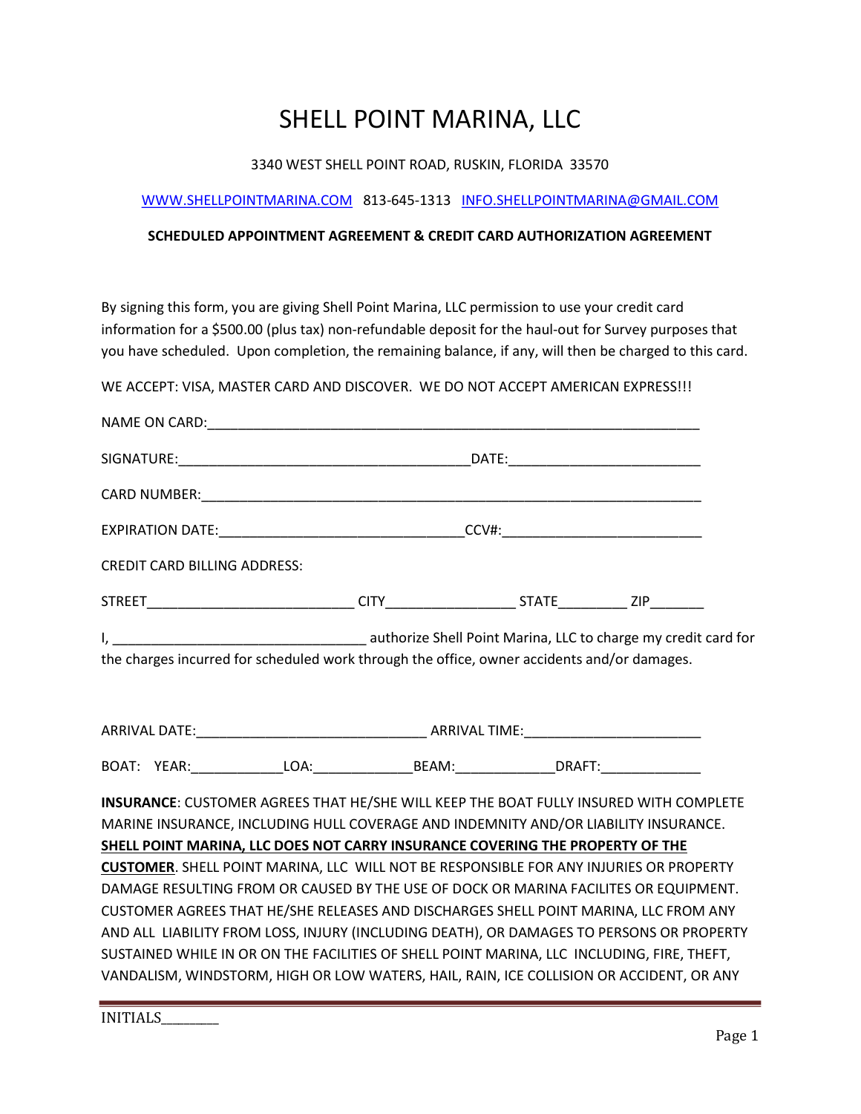## SHELL POINT MARINA, LLC

## 3340 WEST SHELL POINT ROAD, RUSKIN, FLORIDA 33570

## WWW.SHELLPOINTMARINA.COM 813-645-1313 INFO.SHELLPOINTMARINA@GMAIL.COM

## SCHEDULED APPOINTMENT AGREEMENT & CREDIT CARD AUTHORIZATION AGREEMENT

By signing this form, you are giving Shell Point Marina, LLC permission to use your credit card information for a \$500.00 (plus tax) non-refundable deposit for the haul-out for Survey purposes that you have scheduled. Upon completion, the remaining balance, if any, will then be charged to this card.

WE ACCEPT: VISA, MASTER CARD AND DISCOVER. WE DO NOT ACCEPT AMERICAN EXPRESS!!!

|                                                                                             | <b>CREDIT CARD BILLING ADDRESS:</b> |                                                                                               |  |  |  |  |
|---------------------------------------------------------------------------------------------|-------------------------------------|-----------------------------------------------------------------------------------------------|--|--|--|--|
|                                                                                             |                                     |                                                                                               |  |  |  |  |
|                                                                                             |                                     |                                                                                               |  |  |  |  |
| the charges incurred for scheduled work through the office, owner accidents and/or damages. |                                     |                                                                                               |  |  |  |  |
|                                                                                             |                                     |                                                                                               |  |  |  |  |
|                                                                                             |                                     |                                                                                               |  |  |  |  |
|                                                                                             |                                     |                                                                                               |  |  |  |  |
|                                                                                             |                                     |                                                                                               |  |  |  |  |
|                                                                                             |                                     | INSURANCE: CUSTOMER AGREES THAT HE/SHE WILL KEEP THE BOAT FULLY INSURED WITH COMPLETE         |  |  |  |  |
|                                                                                             |                                     | MARINE INSURANCE, INCLUDING HULL COVERAGE AND INDEMNITY AND/OR LIABILITY INSURANCE.           |  |  |  |  |
|                                                                                             |                                     | SHELL POINT MARINA, LLC DOES NOT CARRY INSURANCE COVERING THE PROPERTY OF THE                 |  |  |  |  |
|                                                                                             |                                     | <b>CUSTOMER.</b> SHELL POINT MARINA, LLC WILL NOT BE RESPONSIBLE FOR ANY INJURIES OR PROPERTY |  |  |  |  |
|                                                                                             |                                     | DAMAGE RESULTING FROM OR CAUSED BY THE USE OF DOCK OR MARINA FACILITES OR EQUIPMENT.          |  |  |  |  |
|                                                                                             |                                     | CUSTOMER AGREES THAT HE/SHE RELEASES AND DISCHARGES SHELL POINT MARINA, LLC FROM ANY          |  |  |  |  |
|                                                                                             |                                     | AND ALL LIABILITY FROM LOSS, INJURY (INCLUDING DEATH), OR DAMAGES TO PERSONS OR PROPERTY      |  |  |  |  |
|                                                                                             |                                     | SUSTAINED WHILE IN OR ON THE FACILITIES OF SHELL POINT MARINA, LLC INCLUDING, FIRE, THEFT,    |  |  |  |  |
|                                                                                             |                                     | VANDALISM, WINDSTORM, HIGH OR LOW WATERS, HAIL, RAIN, ICE COLLISION OR ACCIDENT, OR ANY       |  |  |  |  |
|                                                                                             |                                     |                                                                                               |  |  |  |  |